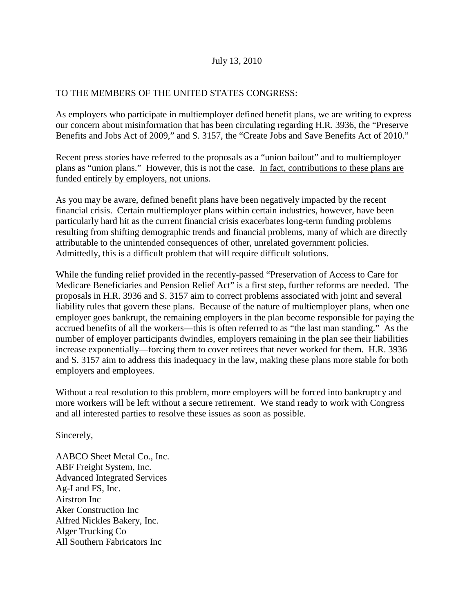## July 13, 2010

## TO THE MEMBERS OF THE UNITED STATES CONGRESS:

As employers who participate in multiemployer defined benefit plans, we are writing to express our concern about misinformation that has been circulating regarding H.R. 3936, the "Preserve Benefits and Jobs Act of 2009," and S. 3157, the "Create Jobs and Save Benefits Act of 2010."

Recent press stories have referred to the proposals as a "union bailout" and to multiemployer plans as "union plans." However, this is not the case. In fact, contributions to these plans are funded entirely by employers, not unions.

As you may be aware, defined benefit plans have been negatively impacted by the recent financial crisis. Certain multiemployer plans within certain industries, however, have been particularly hard hit as the current financial crisis exacerbates long-term funding problems resulting from shifting demographic trends and financial problems, many of which are directly attributable to the unintended consequences of other, unrelated government policies. Admittedly, this is a difficult problem that will require difficult solutions.

While the funding relief provided in the recently-passed "Preservation of Access to Care for Medicare Beneficiaries and Pension Relief Act" is a first step, further reforms are needed. The proposals in H.R. 3936 and S. 3157 aim to correct problems associated with joint and several liability rules that govern these plans. Because of the nature of multiemployer plans, when one employer goes bankrupt, the remaining employers in the plan become responsible for paying the accrued benefits of all the workers—this is often referred to as "the last man standing." As the number of employer participants dwindles, employers remaining in the plan see their liabilities increase exponentially—forcing them to cover retirees that never worked for them. H.R. 3936 and S. 3157 aim to address this inadequacy in the law, making these plans more stable for both employers and employees.

Without a real resolution to this problem, more employers will be forced into bankruptcy and more workers will be left without a secure retirement. We stand ready to work with Congress and all interested parties to resolve these issues as soon as possible.

Sincerely,

AABCO Sheet Metal Co., Inc. ABF Freight System, Inc. Advanced Integrated Services Ag-Land FS, Inc. Airstron Inc Aker Construction Inc Alfred Nickles Bakery, Inc. Alger Trucking Co All Southern Fabricators Inc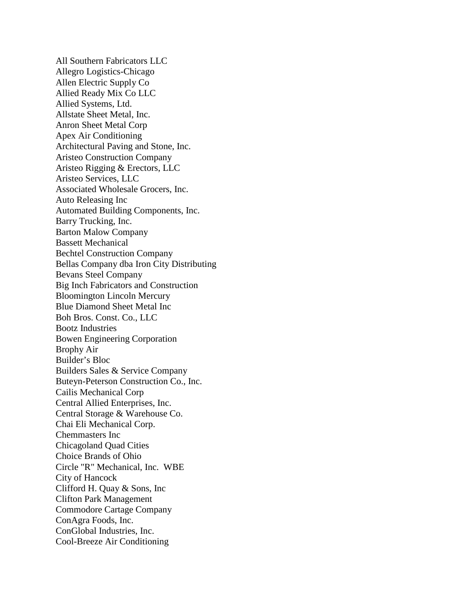All Southern Fabricators LLC Allegro Logistics-Chicago Allen Electric Supply Co Allied Ready Mix Co LLC Allied Systems, Ltd. Allstate Sheet Metal, Inc. Anron Sheet Metal Corp Apex Air Conditioning Architectural Paving and Stone, Inc. Aristeo Construction Company Aristeo Rigging & Erectors, LLC Aristeo Services, LLC Associated Wholesale Grocers, Inc. Auto Releasing Inc Automated Building Components, Inc. Barry Trucking, Inc. Barton Malow Company Bassett Mechanical Bechtel Construction Company Bellas Company dba Iron City Distributing Bevans Steel Company Big Inch Fabricators and Construction Bloomington Lincoln Mercury Blue Diamond Sheet Metal Inc Boh Bros. Const. Co., LLC Bootz Industries Bowen Engineering Corporation Brophy Air Builder's Bloc Builders Sales & Service Company Buteyn-Peterson Construction Co., Inc. Cailis Mechanical Corp Central Allied Enterprises, Inc. Central Storage & Warehouse Co. Chai Eli Mechanical Corp. Chemmasters Inc Chicagoland Quad Cities Choice Brands of Ohio Circle "R" Mechanical, Inc. WBE City of Hancock Clifford H. Quay & Sons, Inc Clifton Park Management Commodore Cartage Company ConAgra Foods, Inc. ConGlobal Industries, Inc. Cool-Breeze Air Conditioning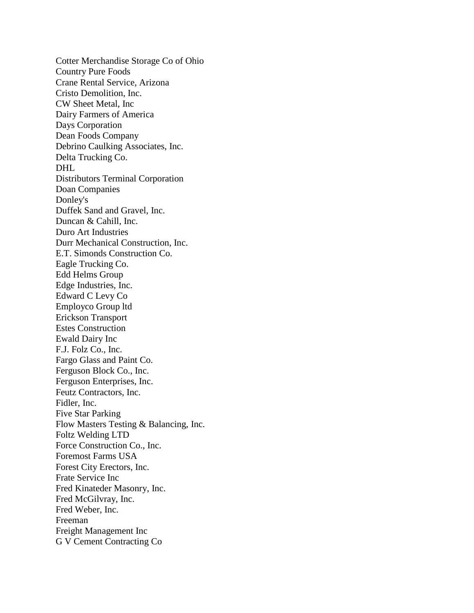Cotter Merchandise Storage Co of Ohio Country Pure Foods Crane Rental Service, Arizona Cristo Demolition, Inc. CW Sheet Metal, Inc Dairy Farmers of America Days Corporation Dean Foods Company Debrino Caulking Associates, Inc. Delta Trucking Co. DHL Distributors Terminal Corporation Doan Companies Donley's Duffek Sand and Gravel, Inc. Duncan & Cahill, Inc. Duro Art Industries Durr Mechanical Construction, Inc. E.T. Simonds Construction Co. Eagle Trucking Co. Edd Helms Group Edge Industries, Inc. Edward C Levy Co Employco Group ltd Erickson Transport Estes Construction Ewald Dairy Inc F.J. Folz Co., Inc. Fargo Glass and Paint Co. Ferguson Block Co., Inc. Ferguson Enterprises, Inc. Feutz Contractors, Inc. Fidler, Inc. Five Star Parking Flow Masters Testing & Balancing, Inc. Foltz Welding LTD Force Construction Co., Inc. Foremost Farms USA Forest City Erectors, Inc. Frate Service Inc Fred Kinateder Masonry, Inc. Fred McGilvray, Inc. Fred Weber, Inc. Freeman Freight Management Inc G V Cement Contracting Co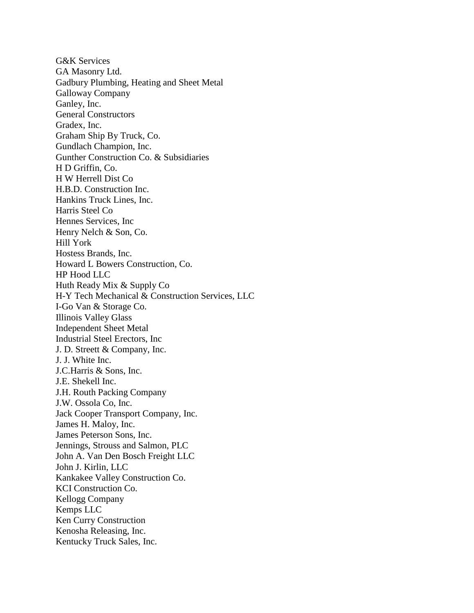G&K Services GA Masonry Ltd. Gadbury Plumbing, Heating and Sheet Metal Galloway Company Ganley, Inc. General Constructors Gradex, Inc. Graham Ship By Truck, Co. Gundlach Champion, Inc. Gunther Construction Co. & Subsidiaries H D Griffin, Co. H W Herrell Dist Co H.B.D. Construction Inc. Hankins Truck Lines, Inc. Harris Steel Co Hennes Services, Inc Henry Nelch & Son, Co. Hill York Hostess Brands, Inc. Howard L Bowers Construction, Co. HP Hood LLC Huth Ready Mix & Supply Co H-Y Tech Mechanical & Construction Services, LLC I-Go Van & Storage Co. Illinois Valley Glass Independent Sheet Metal Industrial Steel Erectors, Inc J. D. Streett & Company, Inc. J. J. White Inc. J.C.Harris & Sons, Inc. J.E. Shekell Inc. J.H. Routh Packing Company J.W. Ossola Co, Inc. Jack Cooper Transport Company, Inc. James H. Maloy, Inc. James Peterson Sons, Inc. Jennings, Strouss and Salmon, PLC John A. Van Den Bosch Freight LLC John J. Kirlin, LLC Kankakee Valley Construction Co. KCI Construction Co. Kellogg Company Kemps LLC Ken Curry Construction Kenosha Releasing, Inc. Kentucky Truck Sales, Inc.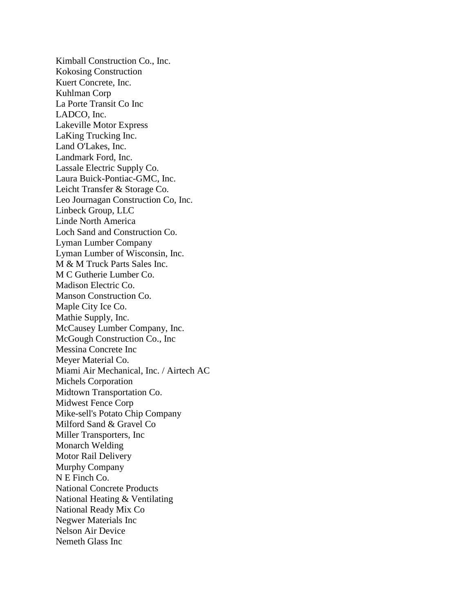Kimball Construction Co., Inc. Kokosing Construction Kuert Concrete, Inc. Kuhlman Corp La Porte Transit Co Inc LADCO, Inc. Lakeville Motor Express LaKing Trucking Inc. Land O'Lakes, Inc. Landmark Ford, Inc. Lassale Electric Supply Co. Laura Buick-Pontiac-GMC, Inc. Leicht Transfer & Storage Co. Leo Journagan Construction Co, Inc. Linbeck Group, LLC Linde North America Loch Sand and Construction Co. Lyman Lumber Company Lyman Lumber of Wisconsin, Inc. M & M Truck Parts Sales Inc. M C Gutherie Lumber Co. Madison Electric Co. Manson Construction Co. Maple City Ice Co. Mathie Supply, Inc. McCausey Lumber Company, Inc. McGough Construction Co., Inc Messina Concrete Inc Meyer Material Co. Miami Air Mechanical, Inc. / Airtech AC Michels Corporation Midtown Transportation Co. Midwest Fence Corp Mike-sell's Potato Chip Company Milford Sand & Gravel Co Miller Transporters, Inc Monarch Welding Motor Rail Delivery Murphy Company N E Finch Co. National Concrete Products National Heating & Ventilating National Ready Mix Co Negwer Materials Inc Nelson Air Device Nemeth Glass Inc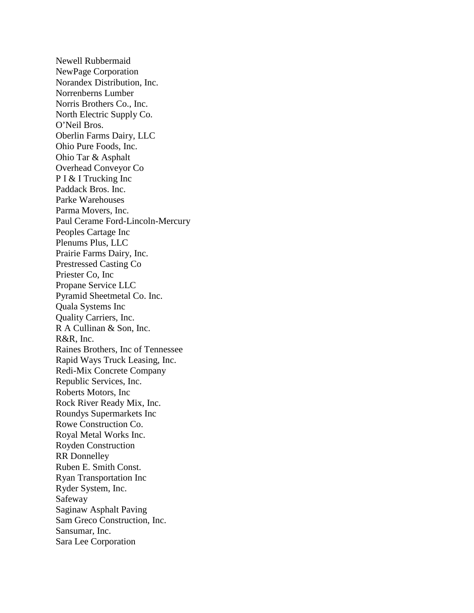Newell Rubbermaid NewPage Corporation Norandex Distribution, Inc. Norrenberns Lumber Norris Brothers Co., Inc. North Electric Supply Co. O'Neil Bros. Oberlin Farms Dairy, LLC Ohio Pure Foods, Inc. Ohio Tar & Asphalt Overhead Conveyor Co P I & I Trucking Inc Paddack Bros. Inc. Parke Warehouses Parma Movers, Inc. Paul Cerame Ford-Lincoln-Mercury Peoples Cartage Inc Plenums Plus, LLC Prairie Farms Dairy, Inc. Prestressed Casting Co Priester Co, Inc Propane Service LLC Pyramid Sheetmetal Co. Inc. Quala Systems Inc Quality Carriers, Inc. R A Cullinan & Son, Inc. R&R, Inc. Raines Brothers, Inc of Tennessee Rapid Ways Truck Leasing, Inc. Redi-Mix Concrete Company Republic Services, Inc. Roberts Motors, Inc Rock River Ready Mix, Inc. Roundys Supermarkets Inc Rowe Construction Co. Royal Metal Works Inc. Royden Construction RR Donnelley Ruben E. Smith Const. Ryan Transportation Inc Ryder System, Inc. Safeway Saginaw Asphalt Paving Sam Greco Construction, Inc. Sansumar, Inc. Sara Lee Corporation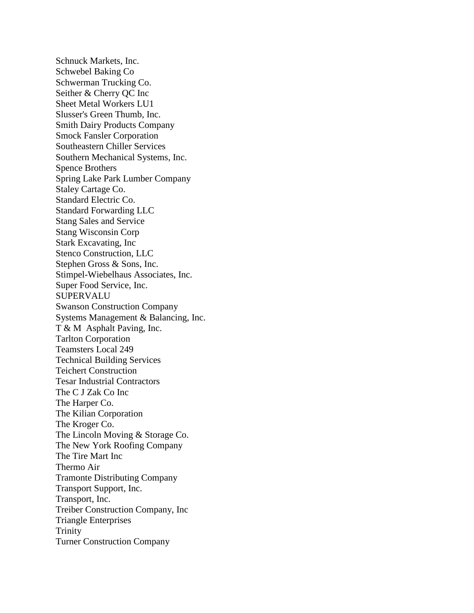Schnuck Markets, Inc. Schwebel Baking Co Schwerman Trucking Co. Seither & Cherry QC Inc Sheet Metal Workers LU1 Slusser's Green Thumb, Inc. Smith Dairy Products Company Smock Fansler Corporation Southeastern Chiller Services Southern Mechanical Systems, Inc. Spence Brothers Spring Lake Park Lumber Company Staley Cartage Co. Standard Electric Co. Standard Forwarding LLC Stang Sales and Service Stang Wisconsin Corp Stark Excavating, Inc Stenco Construction, LLC Stephen Gross & Sons, Inc. Stimpel-Wiebelhaus Associates, Inc. Super Food Service, Inc. SUPERVALU Swanson Construction Company Systems Management & Balancing, Inc. T & M Asphalt Paving, Inc. Tarlton Corporation Teamsters Local 249 Technical Building Services Teichert Construction Tesar Industrial Contractors The C J Zak Co Inc The Harper Co. The Kilian Corporation The Kroger Co. The Lincoln Moving & Storage Co. The New York Roofing Company The Tire Mart Inc Thermo Air Tramonte Distributing Company Transport Support, Inc. Transport, Inc. Treiber Construction Company, Inc Triangle Enterprises Trinity Turner Construction Company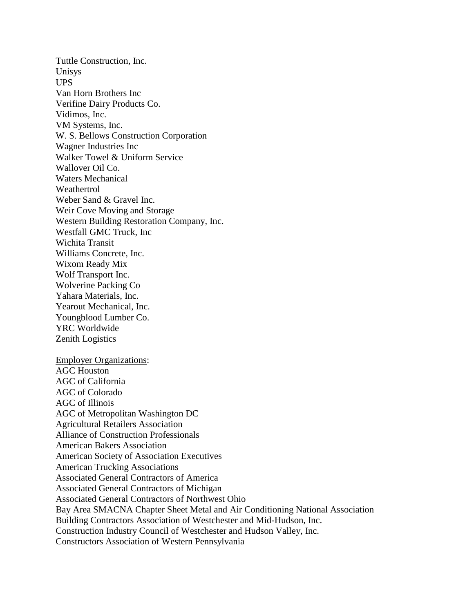Tuttle Construction, Inc. Unisys UPS Van Horn Brothers Inc Verifine Dairy Products Co. Vidimos, Inc. VM Systems, Inc. W. S. Bellows Construction Corporation Wagner Industries Inc Walker Towel & Uniform Service Wallover Oil Co. Waters Mechanical **Weathertrol** Weber Sand & Gravel Inc. Weir Cove Moving and Storage Western Building Restoration Company, Inc. Westfall GMC Truck, Inc Wichita Transit Williams Concrete, Inc. Wixom Ready Mix Wolf Transport Inc. Wolverine Packing Co Yahara Materials, Inc. Yearout Mechanical, Inc. Youngblood Lumber Co. YRC Worldwide Zenith Logistics Employer Organizations: AGC Houston

AGC of California AGC of Colorado AGC of Illinois AGC of Metropolitan Washington DC Agricultural Retailers Association Alliance of Construction Professionals American Bakers Association American Society of Association Executives American Trucking Associations Associated General Contractors of America Associated General Contractors of Michigan Associated General Contractors of Northwest Ohio Bay Area SMACNA Chapter Sheet Metal and Air Conditioning National Association Building Contractors Association of Westchester and Mid-Hudson, Inc. Construction Industry Council of Westchester and Hudson Valley, Inc. Constructors Association of Western Pennsylvania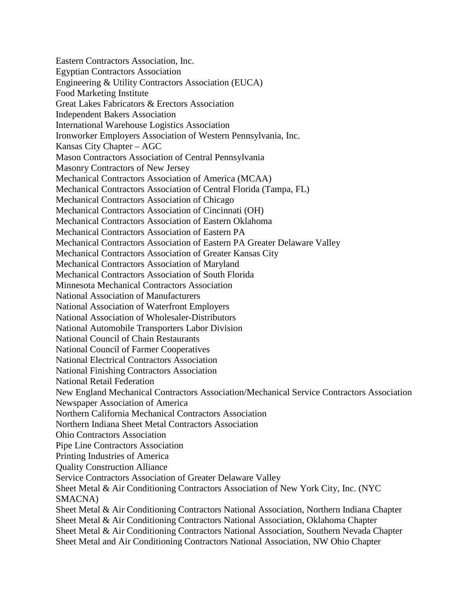Eastern Contractors Association, Inc. Egyptian Contractors Association Engineering & Utility Contractors Association (EUCA) Food Marketing Institute Great Lakes Fabricators & Erectors Association Independent Bakers Association International Warehouse Logistics Association Ironworker Employers Association of Western Pennsylvania, Inc. Kansas City Chapter – AGC Mason Contractors Association of Central Pennsylvania Masonry Contractors of New Jersey Mechanical Contractors Association of America (MCAA) Mechanical Contractors Association of Central Florida (Tampa, FL) Mechanical Contractors Association of Chicago Mechanical Contractors Association of Cincinnati (OH) Mechanical Contractors Association of Eastern Oklahoma Mechanical Contractors Association of Eastern PA Mechanical Contractors Association of Eastern PA Greater Delaware Valley Mechanical Contractors Association of Greater Kansas City Mechanical Contractors Association of Maryland Mechanical Contractors Association of South Florida Minnesota Mechanical Contractors Association National Association of Manufacturers National Association of Waterfront Employers National Association of Wholesaler-Distributors National Automobile Transporters Labor Division National Council of Chain Restaurants National Council of Farmer Cooperatives National Electrical Contractors Association National Finishing Contractors Association National Retail Federation New England Mechanical Contractors Association/Mechanical Service Contractors Association Newspaper Association of America Northern California Mechanical Contractors Association Northern Indiana Sheet Metal Contractors Association Ohio Contractors Association Pipe Line Contractors Association Printing Industries of America Quality Construction Alliance Service Contractors Association of Greater Delaware Valley Sheet Metal & Air Conditioning Contractors Association of New York City, Inc. (NYC SMACNA) Sheet Metal & Air Conditioning Contractors National Association, Northern Indiana Chapter Sheet Metal & Air Conditioning Contractors National Association, Oklahoma Chapter Sheet Metal & Air Conditioning Contractors National Association, Southern Nevada Chapter Sheet Metal and Air Conditioning Contractors National Association, NW Ohio Chapter